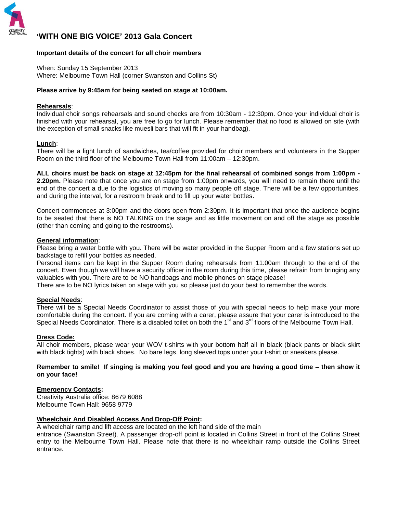

# **'WITH ONE BIG VOICE' 2013 Gala Concert**

### **Important details of the concert for all choir members**

When: Sunday 15 September 2013 Where: Melbourne Town Hall (corner Swanston and Collins St)

#### **Please arrive by 9:45am for being seated on stage at 10:00am.**

### **Rehearsals**:

Individual choir songs rehearsals and sound checks are from 10:30am - 12:30pm. Once your individual choir is finished with your rehearsal, you are free to go for lunch. Please remember that no food is allowed on site (with the exception of small snacks like muesli bars that will fit in your handbag).

#### **Lunch**:

There will be a light lunch of sandwiches, tea/coffee provided for choir members and volunteers in the Supper Room on the third floor of the Melbourne Town Hall from 11:00am – 12:30pm.

**ALL choirs must be back on stage at 12:45pm for the final rehearsal of combined songs from 1:00pm - 2.20pm.** Please note that once you are on stage from 1:00pm onwards, you will need to remain there until the end of the concert a due to the logistics of moving so many people off stage. There will be a few opportunities, and during the interval, for a restroom break and to fill up your water bottles.

Concert commences at 3:00pm and the doors open from 2:30pm. It is important that once the audience begins to be seated that there is NO TALKING on the stage and as little movement on and off the stage as possible (other than coming and going to the restrooms).

#### **General information**:

Please bring a water bottle with you. There will be water provided in the Supper Room and a few stations set up backstage to refill your bottles as needed.

Personal items can be kept in the Supper Room during rehearsals from 11:00am through to the end of the concert. Even though we will have a security officer in the room during this time, please refrain from bringing any valuables with you. There are to be NO handbags and mobile phones on stage please!

There are to be NO lyrics taken on stage with you so please just do your best to remember the words.

#### **Special Needs**:

There will be a Special Needs Coordinator to assist those of you with special needs to help make your more comfortable during the concert. If you are coming with a carer, please assure that your carer is introduced to the Special Needs Coordinator. There is a disabled toilet on both the 1<sup>st</sup> and 3<sup>rd</sup> floors of the Melbourne Town Hall.

#### **Dress Code:**

All choir members, please wear your WOV t-shirts with your bottom half all in black (black pants or black skirt with black tights) with black shoes. No bare legs, long sleeved tops under your t-shirt or sneakers please.

### **Remember to smile! If singing is making you feel good and you are having a good time – then show it on your face!**

### **Emergency Contacts:**

Creativity Australia office: 8679 6088 Melbourne Town Hall: 9658 9779

### **Wheelchair And Disabled Access And Drop-Off Point:**

A wheelchair ramp and lift access are located on the left hand side of the main

entrance (Swanston Street). A passenger drop-off point is located in Collins Street in front of the Collins Street entry to the Melbourne Town Hall. Please note that there is no wheelchair ramp outside the Collins Street entrance.